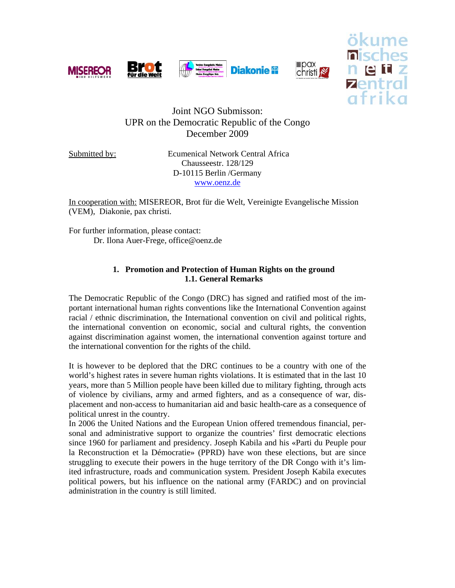



 $\Box$ pax

ökume

# Joint NGO Submisson: UPR on the Democratic Republic of the Congo December 2009

Submitted by: Ecumenical Network Central Africa Chausseestr. 128/129 D-10115 Berlin /Germany www.oenz.de

In cooperation with: MISEREOR, Brot für die Welt, Vereinigte Evangelische Mission (VEM), Diakonie, pax christi.

For further information, please contact: Dr. Ilona Auer-Frege, office@oenz.de

## **1. Promotion and Protection of Human Rights on the ground 1.1. General Remarks**

The Democratic Republic of the Congo (DRC) has signed and ratified most of the important international human rights conventions like the International Convention against racial / ethnic discrimination, the International convention on civil and political rights, the international convention on economic, social and cultural rights, the convention against discrimination against women, the international convention against torture and the international convention for the rights of the child.

It is however to be deplored that the DRC continues to be a country with one of the world's highest rates in severe human rights violations. It is estimated that in the last 10 years, more than 5 Million people have been killed due to military fighting, through acts of violence by civilians, army and armed fighters, and as a consequence of war, displacement and non-access to humanitarian aid and basic health-care as a consequence of political unrest in the country.

In 2006 the United Nations and the European Union offered tremendous financial, personal and administrative support to organize the countries' first democratic elections since 1960 for parliament and presidency. Joseph Kabila and his «Parti du Peuple pour la Reconstruction et la Démocratie» (PPRD) have won these elections, but are since struggling to execute their powers in the huge territory of the DR Congo with it's limited infrastructure, roads and communication system. President Joseph Kabila executes political powers, but his influence on the national army (FARDC) and on provincial administration in the country is still limited.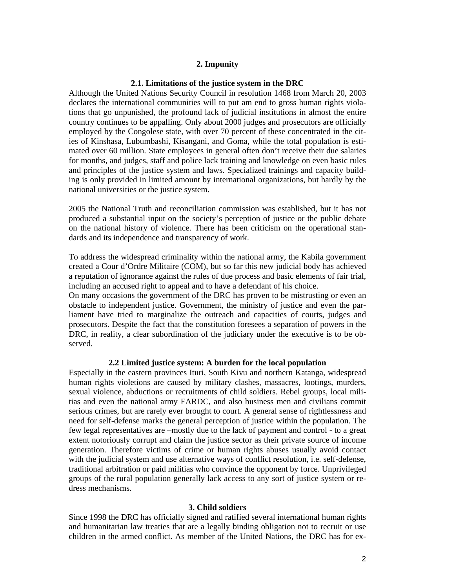### **2. Impunity**

#### **2.1. Limitations of the justice system in the DRC**

Although the United Nations Security Council in resolution 1468 from March 20, 2003 declares the international communities will to put am end to gross human rights violations that go unpunished, the profound lack of judicial institutions in almost the entire country continues to be appalling. Only about 2000 judges and prosecutors are officially employed by the Congolese state, with over 70 percent of these concentrated in the cities of Kinshasa, Lubumbashi, Kisangani, and Goma, while the total population is estimated over 60 million. State employees in general often don't receive their due salaries for months, and judges, staff and police lack training and knowledge on even basic rules and principles of the justice system and laws. Specialized trainings and capacity building is only provided in limited amount by international organizations, but hardly by the national universities or the justice system.

2005 the National Truth and reconciliation commission was established, but it has not produced a substantial input on the society's perception of justice or the public debate on the national history of violence. There has been criticism on the operational standards and its independence and transparency of work.

To address the widespread criminality within the national army, the Kabila government created a Cour d'Ordre Militaire (COM), but so far this new judicial body has achieved a reputation of ignorance against the rules of due process and basic elements of fair trial, including an accused right to appeal and to have a defendant of his choice.

On many occasions the government of the DRC has proven to be mistrusting or even an obstacle to independent justice. Government, the ministry of justice and even the parliament have tried to marginalize the outreach and capacities of courts, judges and prosecutors. Despite the fact that the constitution foresees a separation of powers in the DRC, in reality, a clear subordination of the judiciary under the executive is to be observed.

## **2.2 Limited justice system: A burden for the local population**

Especially in the eastern provinces Ituri, South Kivu and northern Katanga, widespread human rights violetions are caused by military clashes, massacres, lootings, murders, sexual violence, abductions or recruitments of child soldiers. Rebel groups, local militias and even the national army FARDC, and also business men and civilians commit serious crimes, but are rarely ever brought to court. A general sense of rightlessness and need for self-defense marks the general perception of justice within the population. The few legal representatives are –mostly due to the lack of payment and control - to a great extent notoriously corrupt and claim the justice sector as their private source of income generation. Therefore victims of crime or human rights abuses usually avoid contact with the judicial system and use alternative ways of conflict resolution, i.e. self-defense, traditional arbitration or paid militias who convince the opponent by force. Unprivileged groups of the rural population generally lack access to any sort of justice system or redress mechanisms.

#### **3. Child soldiers**

Since 1998 the DRC has officially signed and ratified several international human rights and humanitarian law treaties that are a legally binding obligation not to recruit or use children in the armed conflict. As member of the United Nations, the DRC has for ex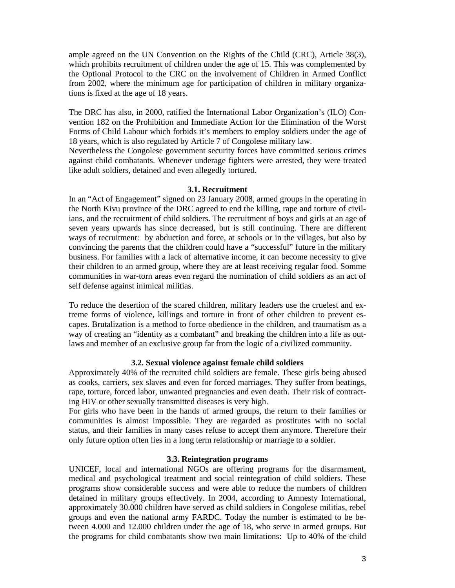ample agreed on the UN Convention on the Rights of the Child (CRC), Article 38(3), which prohibits recruitment of children under the age of 15. This was complemented by the Optional Protocol to the CRC on the involvement of Children in Armed Conflict from 2002, where the minimum age for participation of children in military organizations is fixed at the age of 18 years.

The DRC has also, in 2000, ratified the International Labor Organization's (ILO) Convention 182 on the Prohibition and Immediate Action for the Elimination of the Worst Forms of Child Labour which forbids it's members to employ soldiers under the age of 18 years, which is also regulated by Article 7 of Congolese military law.

Nevertheless the Congolese government security forces have committed serious crimes against child combatants. Whenever underage fighters were arrested, they were treated like adult soldiers, detained and even allegedly tortured.

#### **3.1. Recruitment**

In an "Act of Engagement" signed on 23 January 2008, armed groups in the operating in the North Kivu province of the DRC agreed to end the killing, rape and torture of civilians, and the recruitment of child soldiers. The recruitment of boys and girls at an age of seven years upwards has since decreased, but is still continuing. There are different ways of recruitment: by abduction and force, at schools or in the villages, but also by convincing the parents that the children could have a "successful" future in the military business. For families with a lack of alternative income, it can become necessity to give their children to an armed group, where they are at least receiving regular food. Somme communities in war-torn areas even regard the nomination of child soldiers as an act of self defense against inimical militias.

To reduce the desertion of the scared children, military leaders use the cruelest and extreme forms of violence, killings and torture in front of other children to prevent escapes. Brutalization is a method to force obedience in the children, and traumatism as a way of creating an "identity as a combatant" and breaking the children into a life as outlaws and member of an exclusive group far from the logic of a civilized community.

### **3.2. Sexual violence against female child soldiers**

Approximately 40% of the recruited child soldiers are female. These girls being abused as cooks, carriers, sex slaves and even for forced marriages. They suffer from beatings, rape, torture, forced labor, unwanted pregnancies and even death. Their risk of contracting HIV or other sexually transmitted diseases is very high.

For girls who have been in the hands of armed groups, the return to their families or communities is almost impossible. They are regarded as prostitutes with no social status, and their families in many cases refuse to accept them anymore. Therefore their only future option often lies in a long term relationship or marriage to a soldier.

#### **3.3. Reintegration programs**

UNICEF, local and international NGOs are offering programs for the disarmament, medical and psychological treatment and social reintegration of child soldiers. These programs show considerable success and were able to reduce the numbers of children detained in military groups effectively. In 2004, according to Amnesty International, approximately 30.000 children have served as child soldiers in Congolese militias, rebel groups and even the national army FARDC. Today the number is estimated to be between 4.000 and 12.000 children under the age of 18, who serve in armed groups. But the programs for child combatants show two main limitations: Up to 40% of the child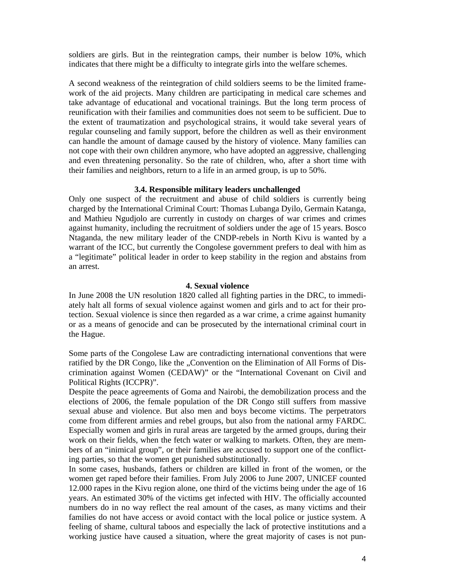soldiers are girls. But in the reintegration camps, their number is below 10%, which indicates that there might be a difficulty to integrate girls into the welfare schemes.

A second weakness of the reintegration of child soldiers seems to be the limited framework of the aid projects. Many children are participating in medical care schemes and take advantage of educational and vocational trainings. But the long term process of reunification with their families and communities does not seem to be sufficient. Due to the extent of traumatization and psychological strains, it would take several years of regular counseling and family support, before the children as well as their environment can handle the amount of damage caused by the history of violence. Many families can not cope with their own children anymore, who have adopted an aggressive, challenging and even threatening personality. So the rate of children, who, after a short time with their families and neighbors, return to a life in an armed group, is up to 50%.

## **3.4. Responsible military leaders unchallenged**

Only one suspect of the recruitment and abuse of child soldiers is currently being charged by the International Criminal Court: Thomas Lubanga Dyilo, Germain Katanga, and Mathieu Ngudjolo are currently in custody on charges of war crimes and crimes against humanity, including the recruitment of soldiers under the age of 15 years. Bosco Ntaganda, the new military leader of the CNDP-rebels in North Kivu is wanted by a warrant of the ICC, but currently the Congolese government prefers to deal with him as a "legitimate" political leader in order to keep stability in the region and abstains from an arrest.

## **4. Sexual violence**

In June 2008 the UN resolution 1820 called all fighting parties in the DRC, to immediately halt all forms of sexual violence against women and girls and to act for their protection. Sexual violence is since then regarded as a war crime, a crime against humanity or as a means of genocide and can be prosecuted by the international criminal court in the Hague.

Some parts of the Congolese Law are contradicting international conventions that were ratified by the DR Congo, like the "Convention on the Elimination of All Forms of Discrimination against Women (CEDAW)" or the "International Covenant on Civil and Political Rights (ICCPR)".

Despite the peace agreements of Goma and Nairobi, the demobilization process and the elections of 2006, the female population of the DR Congo still suffers from massive sexual abuse and violence. But also men and boys become victims. The perpetrators come from different armies and rebel groups, but also from the national army FARDC. Especially women and girls in rural areas are targeted by the armed groups, during their work on their fields, when the fetch water or walking to markets. Often, they are members of an "inimical group", or their families are accused to support one of the conflicting parties, so that the women get punished substitutionally.

In some cases, husbands, fathers or children are killed in front of the women, or the women get raped before their families. From July 2006 to June 2007, UNICEF counted 12.000 rapes in the Kivu region alone, one third of the victims being under the age of 16 years. An estimated 30% of the victims get infected with HIV. The officially accounted numbers do in no way reflect the real amount of the cases, as many victims and their families do not have access or avoid contact with the local police or justice system. A feeling of shame, cultural taboos and especially the lack of protective institutions and a working justice have caused a situation, where the great majority of cases is not pun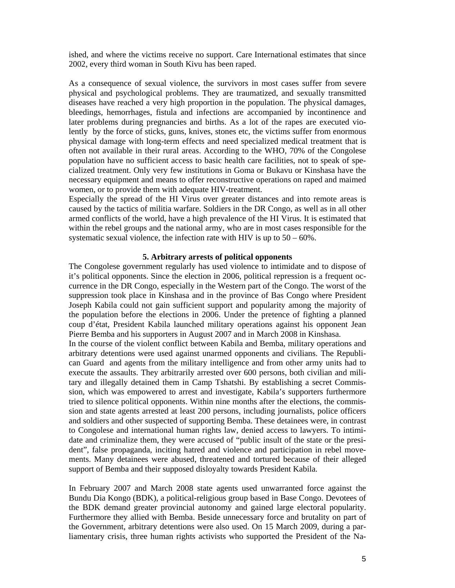ished, and where the victims receive no support. Care International estimates that since 2002, every third woman in South Kivu has been raped.

As a consequence of sexual violence, the survivors in most cases suffer from severe physical and psychological problems. They are traumatized, and sexually transmitted diseases have reached a very high proportion in the population. The physical damages, bleedings, hemorrhages, fistula and infections are accompanied by incontinence and later problems during pregnancies and births. As a lot of the rapes are executed violently by the force of sticks, guns, knives, stones etc, the victims suffer from enormous physical damage with long-term effects and need specialized medical treatment that is often not available in their rural areas. According to the WHO, 70% of the Congolese population have no sufficient access to basic health care facilities, not to speak of specialized treatment. Only very few institutions in Goma or Bukavu or Kinshasa have the necessary equipment and means to offer reconstructive operations on raped and maimed women, or to provide them with adequate HIV-treatment.

Especially the spread of the HI Virus over greater distances and into remote areas is caused by the tactics of militia warfare. Soldiers in the DR Congo, as well as in all other armed conflicts of the world, have a high prevalence of the HI Virus. It is estimated that within the rebel groups and the national army, who are in most cases responsible for the systematic sexual violence, the infection rate with HIV is up to  $50 - 60\%$ .

#### **5. Arbitrary arrests of political opponents**

The Congolese government regularly has used violence to intimidate and to dispose of it's political opponents. Since the election in 2006, political repression is a frequent occurrence in the DR Congo, especially in the Western part of the Congo. The worst of the suppression took place in Kinshasa and in the province of Bas Congo where President Joseph Kabila could not gain sufficient support and popularity among the majority of the population before the elections in 2006. Under the pretence of fighting a planned coup d'état, President Kabila launched military operations against his opponent Jean Pierre Bemba and his supporters in August 2007 and in March 2008 in Kinshasa.

In the course of the violent conflict between Kabila and Bemba, military operations and arbitrary detentions were used against unarmed opponents and civilians. The Republican Guard and agents from the military intelligence and from other army units had to execute the assaults. They arbitrarily arrested over 600 persons, both civilian and military and illegally detained them in Camp Tshatshi. By establishing a secret Commission, which was empowered to arrest and investigate, Kabila's supporters furthermore tried to silence political opponents. Within nine months after the elections, the commission and state agents arrested at least 200 persons, including journalists, police officers and soldiers and other suspected of supporting Bemba. These detainees were, in contrast to Congolese and international human rights law, denied access to lawyers. To intimidate and criminalize them, they were accused of "public insult of the state or the president", false propaganda, inciting hatred and violence and participation in rebel movements. Many detainees were abused, threatened and tortured because of their alleged support of Bemba and their supposed disloyalty towards President Kabila.

In February 2007 and March 2008 state agents used unwarranted force against the Bundu Dia Kongo (BDK), a political-religious group based in Base Congo. Devotees of the BDK demand greater provincial autonomy and gained large electoral popularity. Furthermore they allied with Bemba. Beside unnecessary force and brutality on part of the Government, arbitrary detentions were also used. On 15 March 2009, during a parliamentary crisis, three human rights activists who supported the President of the Na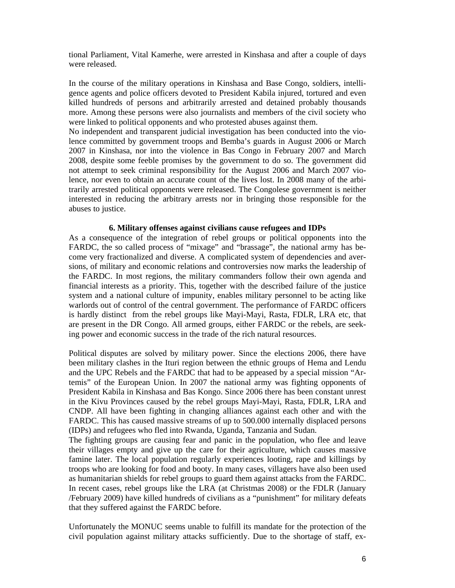tional Parliament, Vital Kamerhe, were arrested in Kinshasa and after a couple of days were released.

In the course of the military operations in Kinshasa and Base Congo, soldiers, intelligence agents and police officers devoted to President Kabila injured, tortured and even killed hundreds of persons and arbitrarily arrested and detained probably thousands more. Among these persons were also journalists and members of the civil society who were linked to political opponents and who protested abuses against them.

No independent and transparent judicial investigation has been conducted into the violence committed by government troops and Bemba's guards in August 2006 or March 2007 in Kinshasa, nor into the violence in Bas Congo in February 2007 and March 2008, despite some feeble promises by the government to do so. The government did not attempt to seek criminal responsibility for the August 2006 and March 2007 violence, nor even to obtain an accurate count of the lives lost. In 2008 many of the arbitrarily arrested political opponents were released. The Congolese government is neither interested in reducing the arbitrary arrests nor in bringing those responsible for the abuses to justice.

#### **6. Military offenses against civilians cause refugees and IDPs**

As a consequence of the integration of rebel groups or political opponents into the FARDC, the so called process of "mixage" and "brassage", the national army has become very fractionalized and diverse. A complicated system of dependencies and aversions, of military and economic relations and controversies now marks the leadership of the FARDC. In most regions, the military commanders follow their own agenda and financial interests as a priority. This, together with the described failure of the justice system and a national culture of impunity, enables military personnel to be acting like warlords out of control of the central government. The performance of FARDC officers is hardly distinct from the rebel groups like Mayi-Mayi, Rasta, FDLR, LRA etc, that are present in the DR Congo. All armed groups, either FARDC or the rebels, are seeking power and economic success in the trade of the rich natural resources.

Political disputes are solved by military power. Since the elections 2006, there have been military clashes in the Ituri region between the ethnic groups of Hema and Lendu and the UPC Rebels and the FARDC that had to be appeased by a special mission "Artemis" of the European Union. In 2007 the national army was fighting opponents of President Kabila in Kinshasa and Bas Kongo. Since 2006 there has been constant unrest in the Kivu Provinces caused by the rebel groups Mayi-Mayi, Rasta, FDLR, LRA and CNDP. All have been fighting in changing alliances against each other and with the FARDC. This has caused massive streams of up to 500.000 internally displaced persons (IDPs) and refugees who fled into Rwanda, Uganda, Tanzania and Sudan.

The fighting groups are causing fear and panic in the population, who flee and leave their villages empty and give up the care for their agriculture, which causes massive famine later. The local population regularly experiences looting, rape and killings by troops who are looking for food and booty. In many cases, villagers have also been used as humanitarian shields for rebel groups to guard them against attacks from the FARDC. In recent cases, rebel groups like the LRA (at Christmas 2008) or the FDLR (January /February 2009) have killed hundreds of civilians as a "punishment" for military defeats that they suffered against the FARDC before.

Unfortunately the MONUC seems unable to fulfill its mandate for the protection of the civil population against military attacks sufficiently. Due to the shortage of staff, ex-